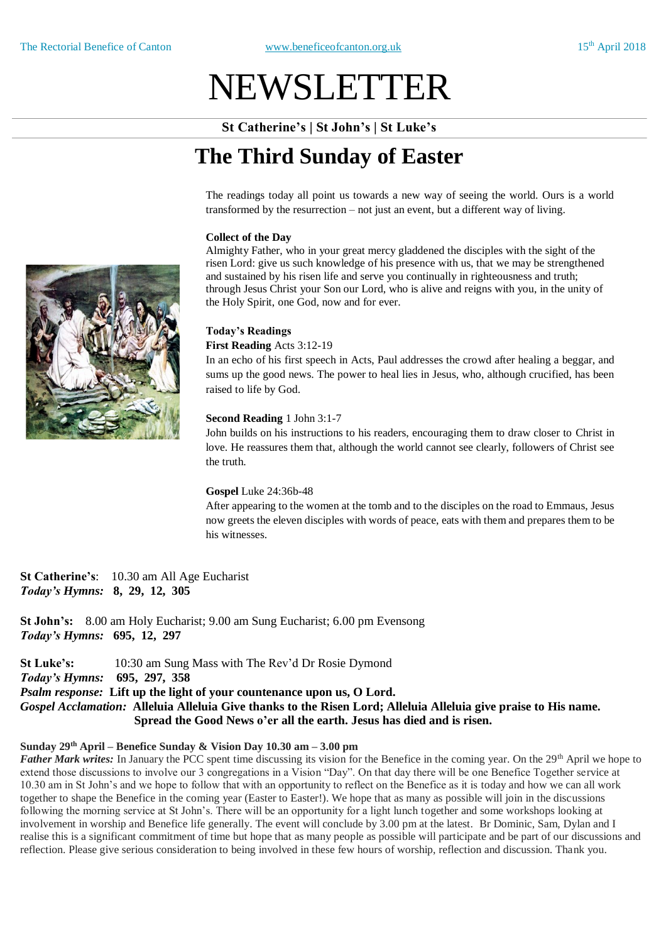# NEWSLETTER

**St Catherine's | St John's | St Luke's**

## **The Third Sunday of Easter**

The readings today all point us towards a new way of seeing the world. Ours is a world transformed by the resurrection – not just an event, but a different way of living.

### **Collect of the Day**

Almighty Father, who in your great mercy gladdened the disciples with the sight of the risen Lord: give us such knowledge of his presence with us, that we may be strengthened and sustained by his risen life and serve you continually in righteousness and truth; through Jesus Christ your Son our Lord, who is alive and reigns with you, in the unity of the Holy Spirit, one God, now and for ever.

### **Today's Readings**

**First Reading** Acts 3:12-19

In an echo of his first speech in Acts, Paul addresses the crowd after healing a beggar, and sums up the good news. The power to heal lies in Jesus, who, although crucified, has been raised to life by God.

### **Second Reading** 1 John 3:1-7

John builds on his instructions to his readers, encouraging them to draw closer to Christ in love. He reassures them that, although the world cannot see clearly, followers of Christ see the truth.

### **Gospel** Luke 24:36b-48

After appearing to the women at the tomb and to the disciples on the road to Emmaus, Jesus now greets the eleven disciples with words of peace, eats with them and prepares them to be his witnesses.

**St Catherine's**: 10.30 am All Age Eucharist *Today's Hymns:* **8, 29, 12, 305**

**St John's:** 8.00 am Holy Eucharist; 9.00 am Sung Eucharist; 6.00 pm Evensong *Today's Hymns:* **695, 12, 297**

**St Luke's:** 10:30 am Sung Mass with The Rev'd Dr Rosie Dymond *Today's Hymns:* **695, 297, 358** *Psalm response:* **Lift up the light of your countenance upon us, O Lord.** Gospel Acclamation: Alleluia Alleluia Give thanks to the Risen Lord; Alleluia Alleluia give praise to His name. **Spread the Good News o'er all the earth. Jesus has died and is risen.**

### **Sunday 29th April – Benefice Sunday & Vision Day 10.30 am – 3.00 pm**

*Father Mark writes:* In January the PCC spent time discussing its vision for the Benefice in the coming year. On the 29<sup>th</sup> April we hope to extend those discussions to involve our 3 congregations in a Vision "Day". On that day there will be one Benefice Together service at 10.30 am in St John's and we hope to follow that with an opportunity to reflect on the Benefice as it is today and how we can all work together to shape the Benefice in the coming year (Easter to Easter!). We hope that as many as possible will join in the discussions following the morning service at St John's. There will be an opportunity for a light lunch together and some workshops looking at involvement in worship and Benefice life generally. The event will conclude by 3.00 pm at the latest. Br Dominic, Sam, Dylan and I realise this is a significant commitment of time but hope that as many people as possible will participate and be part of our discussions and reflection. Please give serious consideration to being involved in these few hours of worship, reflection and discussion. Thank you.